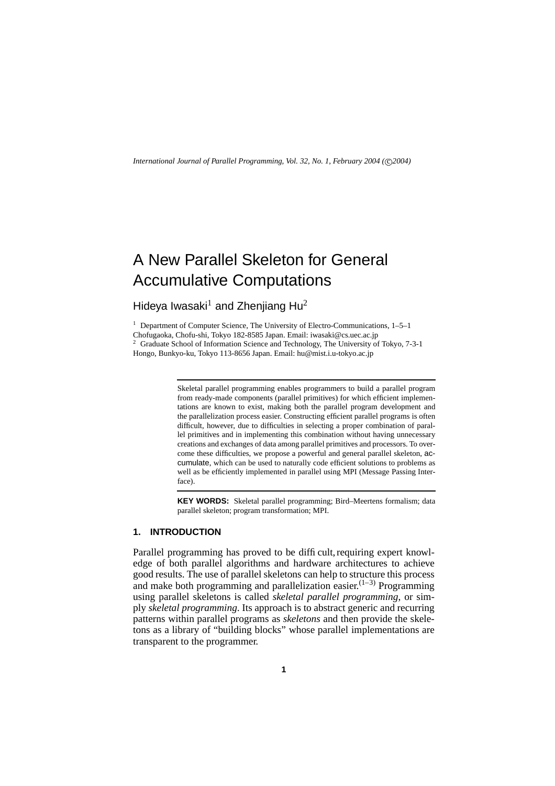*International Journal of Parallel Programming, Vol. 32, No. 1, February 2004 (* c *2004)*

# A New Parallel Skeleton for General Accumulative Computations

Hideya Iwasaki $<sup>1</sup>$  and Zhenjiang Hu<sup>2</sup></sup>

<sup>1</sup> Department of Computer Science, The University of Electro-Communications,  $1-5-1$ Chofugaoka, Chofu-shi, Tokyo 182-8585 Japan. Email: iwasaki*@*cs.uec.ac.jp <sup>2</sup> Graduate School of Information Science and Technology, The University of Tokyo, 7-3-1 Hongo, Bunkyo-ku, Tokyo 113-8656 Japan. Email: hu*@*mist.i.u-tokyo.ac.jp

> Skeletal parallel programming enables programmers to build a parallel program from ready-made components (parallel primitives) for which efficient implementations are known to exist, making both the parallel program development and the parallelization process easier. Constructing efficient parallel programs is often difficult, however, due to difficulties in selecting a proper combination of parallel primitives and in implementing this combination without having unnecessary creations and exchanges of data among parallel primitives and processors. To overcome these difficulties, we propose a powerful and general parallel skeleton, accumulate, which can be used to naturally code efficient solutions to problems as well as be efficiently implemented in parallel using MPI (Message Passing Interface).

> **KEY WORDS:** Skeletal parallel programming; Bird–Meertens formalism; data parallel skeleton; program transformation; MPI.

# **1. INTRODUCTION**

Parallel programming has proved to be difficult, requiring expert knowledge of both parallel algorithms and hardware architectures to achieve good results. The use of parallel skeletons can help to structure this process and make both programming and parallelization easier. $(1-3)$  Programming using parallel skeletons is called *skeletal parallel programming*, or simply *skeletal programming*. Its approach is to abstract generic and recurring patterns within parallel programs as *skeletons* and then provide the skeletons as a library of "building blocks" whose parallel implementations are transparent to the programmer.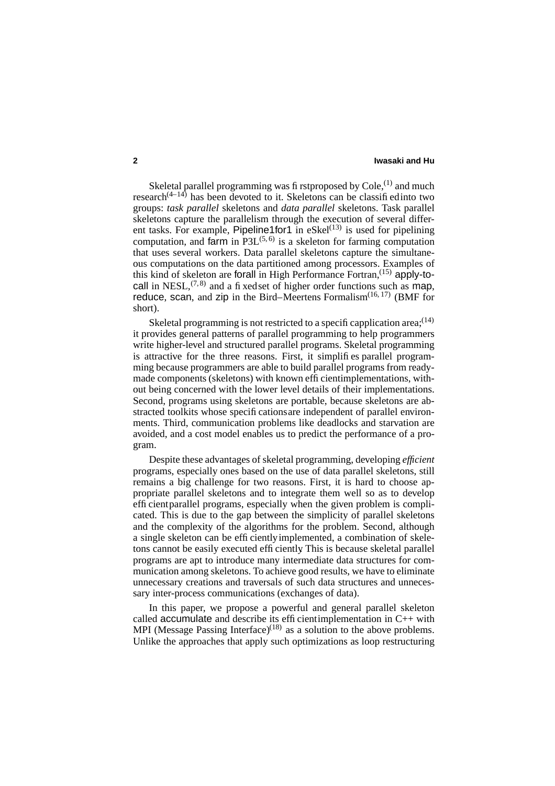Skeletal parallel programming was firstproposed by  $Cole$ ,  $(1)$  and much research $(4-14)$  has been devoted to it. Skeletons can be classified into two groups: *task parallel* skeletons and *data parallel* skeletons. Task parallel skeletons capture the parallelism through the execution of several different tasks. For example, Pipeline1for1 in eSkel<sup>(13)</sup> is used for pipelining computation, and farm in  $P3L^{(5,6)}$  is a skeleton for farming computation that uses several workers. Data parallel skeletons capture the simultaneous computations on the data partitioned among processors. Examples of this kind of skeleton are forall in High Performance Fortran,  $(15)$  apply-tocall in NESL,  $(7,8)$  and a fixed set of higher order functions such as map, reduce, scan, and zip in the Bird–Meertens Formalism $(16, 17)$  (BMF for short).

Skeletal programming is not restricted to a specificapplication area:<sup>(14)</sup> it provides general patterns of parallel programming to help programmers write higher-level and structured parallel programs. Skeletal programming is attractive for the three reasons. First, it simplifies parallel programming because programmers are able to build parallel programs from readymade components (skeletons) with known efficientimplementations, without being concerned with the lower level details of their implementations. Second, programs using skeletons are portable, because skeletons are abstracted toolkits whose specifications are independent of parallel environments. Third, communication problems like deadlocks and starvation are avoided, and a cost model enables us to predict the performance of a program.

Despite these advantages of skeletal programming, developing *efficient* programs, especially ones based on the use of data parallel skeletons, still remains a big challenge for two reasons. First, it is hard to choose appropriate parallel skeletons and to integrate them well so as to develop efficientparallel programs, especially when the given problem is complicated. This is due to the gap between the simplicity of parallel skeletons and the complexity of the algorithms for the problem. Second, although a single skeleton can be efficientlyimplemented, a combination of skeletons cannot be easily executed efficiently. This is because skeletal parallel programs are apt to introduce many intermediate data structures for communication among skeletons. To achieve good results, we have to eliminate unnecessary creations and traversals of such data structures and unnecessary inter-process communications (exchanges of data).

In this paper, we propose a powerful and general parallel skeleton called  $\alpha$  accumulate and describe its efficientimplementation in C++ with MPI (Message Passing Interface) $(18)$  as a solution to the above problems. Unlike the approaches that apply such optimizations as loop restructuring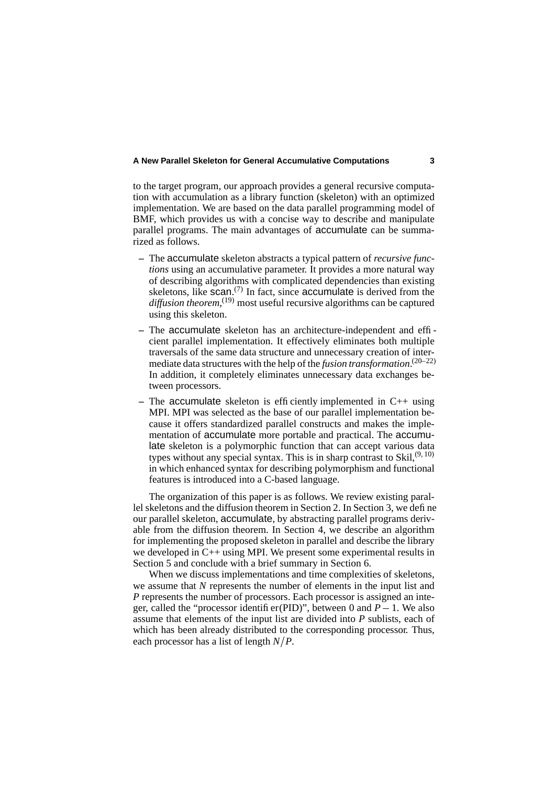to the target program, our approach provides a general recursive computation with accumulation as a library function (skeleton) with an optimized implementation. We are based on the data parallel programming model of BMF, which provides us with a concise way to describe and manipulate parallel programs. The main advantages of accumulate can be summarized as follows.

- **–** The accumulate skeleton abstracts a typical pattern of *recursive functions* using an accumulative parameter. It provides a more natural way of describing algorithms with complicated dependencies than existing skeletons, like  $scan^{(7)}$  In fact, since accumulate is derived from the *diffusion theorem*, (19) most useful recursive algorithms can be captured using this skeleton.
- **–** The accumulate skeleton has an architecture-independent and efficient parallel implementation. It effectively eliminates both multiple traversals of the same data structure and unnecessary creation of intermediate data structures with the help of the *fusion transformation*. (20–22) In addition, it completely eliminates unnecessary data exchanges between processors.
- **–** The accumulate skeleton is efficiently implemented in C++ using MPI. MPI was selected as the base of our parallel implementation because it offers standardized parallel constructs and makes the implementation of accumulate more portable and practical. The accumulate skeleton is a polymorphic function that can accept various data types without any special syntax. This is in sharp contrast to Skil,  $(9, 10)$ in which enhanced syntax for describing polymorphism and functional features is introduced into a C-based language.

The organization of this paper is as follows. We review existing parallel skeletons and the diffusion theorem in Section 2. In Section 3, we define our parallel skeleton, accumulate, by abstracting parallel programs derivable from the diffusion theorem. In Section 4, we describe an algorithm for implementing the proposed skeleton in parallel and describe the library we developed in  $C_{++}$  using MPI. We present some experimental results in Section 5 and conclude with a brief summary in Section 6.

When we discuss implementations and time complexities of skeletons, we assume that *N* represents the number of elements in the input list and *P* represents the number of processors. Each processor is assigned an integer, called the "processor identifier(PID)", between 0 and  $P - 1$ . We also assume that elements of the input list are divided into *P* sublists, each of which has been already distributed to the corresponding processor. Thus, each processor has a list of length *N P*.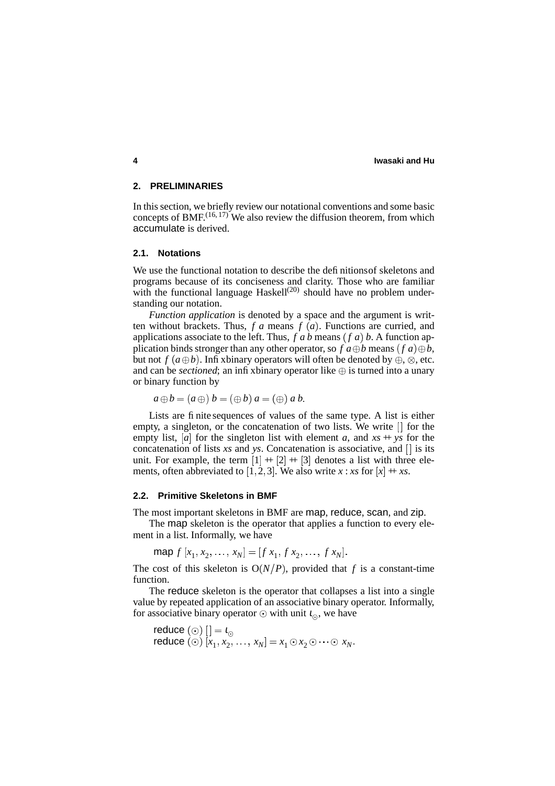### **2. PRELIMINARIES**

In this section, we briefly review our notational conventions and some basic concepts of BMF. $(16, 17)$  We also review the diffusion theorem, from which accumulate is derived.

#### **2.1. Notations**

We use the functional notation to describe the definitionsof skeletons and programs because of its conciseness and clarity. Those who are familiar with the functional language Haskell<sup>(20)</sup> should have no problem understanding our notation.

*Function application* is denoted by a space and the argument is written without brackets. Thus,  $f \, a$  means  $f \, (a)$ . Functions are curried, and applications associate to the left. Thus,  $f$  *a*  $b$  means  $(f$  *a*)  $b$ . A function application binds stronger than any other operator, so  $f$   $a \oplus b$  means  $(f a) \oplus b$ , but not  $f(a \oplus b)$ . Infixbinary operators will often be denoted by  $\oplus$ ,  $\otimes$ , etc. and can be *sectioned*; an infix binary operator like  $\oplus$  is turned into a unary or binary function by

$$
a \oplus b = (a \oplus b) = (\oplus b) a = (\oplus) a b.
$$

Lists are finite sequences of values of the same type. A list is either empty, a singleton, or the concatenation of two lists. We write  $\Box$  for the empty list, [a] for the singleton list with element *a*, and  $xs + ys$  for the concatenation of lists  $xs$  and  $ys$ . Concatenation is associative, and  $[]$  is its unit. For example, the term  $[1] + [2] + [3]$  denotes a list with three elements, often abbreviated to [1, 2, 3]. We also write  $x : xs$  for  $[x] + xs$ .

# **2.2. Primitive Skeletons in BMF**

The most important skeletons in BMF are map, reduce, scan, and zip.

The map skeleton is the operator that applies a function to every element in a list. Informally, we have

map  $f[x_1, x_2, \ldots, x_N] = [f x_1, f x_2, \ldots, f x_N].$ 

The cost of this skeleton is  $O(N/P)$ , provided that f is a constant-time function.

The reduce skeleton is the operator that collapses a list into a single value by repeated application of an associative binary operator. Informally, for associative binary operator  $\odot$  with unit  $\iota_{\odot}$ , we have

reduce (③) 
$$
[]= \iota_{\odot}
$$
  
reduce (③)  $[x_1, x_2, ..., x_N] = x_1 \odot x_2 \odot \cdots \odot x_N$ .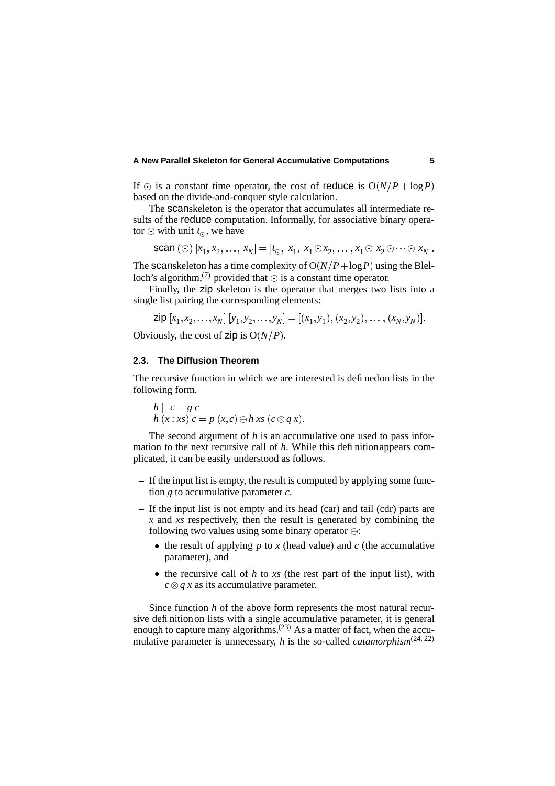If  $\odot$  is a constant time operator, the cost of reduce is  $O(N/P + \log P)$ based on the divide-and-conquer style calculation.

The scanskeleton is the operator that accumulates all intermediate results of the reduce computation. Informally, for associative binary operator  $\odot$  with unit  $\iota_{\odot}$ , we have

**scan** (⑦) 
$$
[x_1, x_2, ..., x_N] = [i_0, x_1, x_1 \odot x_2, ..., x_1 \odot x_2 \odot \cdots \odot x_N].
$$

The scanskeleton has a time complexity of  $O(N/P + \log P)$  using the Blelloch's algorithm,<sup>(7)</sup> provided that  $\odot$  is a constant time operator.

Finally, the zip skeleton is the operator that merges two lists into a single list pairing the corresponding elements:

$$
\mathsf{zip}\ [x_1, x_2, \dots, x_N] \ [y_1, y_2, \dots, y_N] = [(x_1, y_1), (x_2, y_2), \dots, (x_N, y_N)].
$$

Obviously, the cost of zip is  $O(N/P)$ .

# **2.3. The Diffusion Theorem**

The recursive function in which we are interested is definedon lists in the following form.

$$
h\left[\right]c = g\ c
$$
  
 
$$
h\left(x : xs\right)c = p\left(x, c\right) \oplus h\ xs\left(c \otimes q\ x\right).
$$

The second argument of *h* is an accumulative one used to pass information to the next recursive call of *h*. While this definitionappears complicated, it can be easily understood as follows.

- **–** If the input list is empty, the result is computed by applying some function *g* to accumulative parameter *c*.
- **–** If the input list is not empty and its head (car) and tail (cdr) parts are *x* and *xs* respectively, then the result is generated by combining the following two values using some binary operator  $\oplus$ :
	- $\bullet$  the result of applying  $p$  to  $x$  (head value) and  $c$  (the accumulative parameter), and
	- $\bullet$  the recursive call of *h* to *xs* (the rest part of the input list), with  $c \otimes q$  *x* as its accumulative parameter.

Since function *h* of the above form represents the most natural recursive definitionon lists with a single accumulative parameter, it is general enough to capture many algorithms.<sup> $(23)$ </sup> As a matter of fact, when the accumulative parameter is unnecessary, *h* is the so-called *catamorphism*<sup> $(24, 22)$ </sup>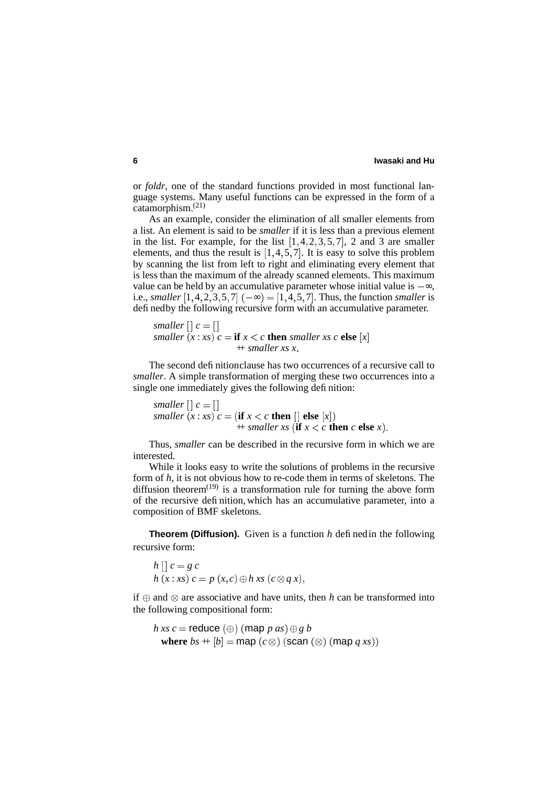or *foldr*, one of the standard functions provided in most functional language systems. Many useful functions can be expressed in the form of a catamorphism.(21)

As an example, consider the elimination of all smaller elements from a list. An element is said to be *smaller* if it is less than a previous element in the list. For example, for the list  $[1, 4, 2, 3, 5, 7]$ , 2 and 3 are smaller elements, and thus the result is  $[1, 4, 5, 7]$ . It is easy to solve this problem by scanning the list from left to right and eliminating every element that is less than the maximum of the already scanned elements. This maximum value can be held by an accumulative parameter whose initial value is  $-\infty$ , i.e., *smaller*  $[1, 4, 2, 3, 5, 7]$   $(-\infty) = [1, 4, 5, 7]$ . Thus, the function *smaller* is definedby the following recursive form with an accumulative parameter.

*smaller*  $\vert \vert c = \vert \vert$ *smaller*  $(x : xs)$   $c = \textbf{if } x < c \textbf{ then } smaller \textit{ x } s \textit{ c} \textbf{ else } |x|$  $+$  *smaller xs x* 

The second definitionclause has two occurrences of a recursive call to *smaller*. A simple transformation of merging these two occurrences into a single one immediately gives the following definition:

*smaller*  $\vert \vert c = \vert \vert$ *smaller*  $(x : xs)$   $c = (\textbf{if } x < c \textbf{ then } [] \textbf{ else } [x])$  $+$  *smaller*  $xs$  (if  $x < c$  then  $c$  else  $x$ ).

Thus, *smaller* can be described in the recursive form in which we are interested.

While it looks easy to write the solutions of problems in the recursive form of *h*, it is not obvious how to re-code them in terms of skeletons. The diffusion theorem<sup> $(19)$ </sup> is a transformation rule for turning the above form of the recursive definition, which has an accumulative parameter, into a composition of BMF skeletons.

**Theorem (Diffusion).** Given is a function *h* definedin the following recursive form:

$$
h\left[\right]c = g\ c
$$
  
 
$$
h\left(x: xs\right)c = p\left(x,c\right) \oplus h\ xs\left(c \otimes q\ x\right),
$$

if  $\oplus$  and  $\otimes$  are associative and have units, then *h* can be transformed into the following compositional form:

$$
h\, xs\, c = \text{reduce } (\oplus) \, (\text{map } p\, as) \oplus g\, b
$$
\n
$$
\text{where } bs + [b] = \text{map } (c \otimes) \, (\text{scan } (\otimes) \, (\text{map } q\, xs))
$$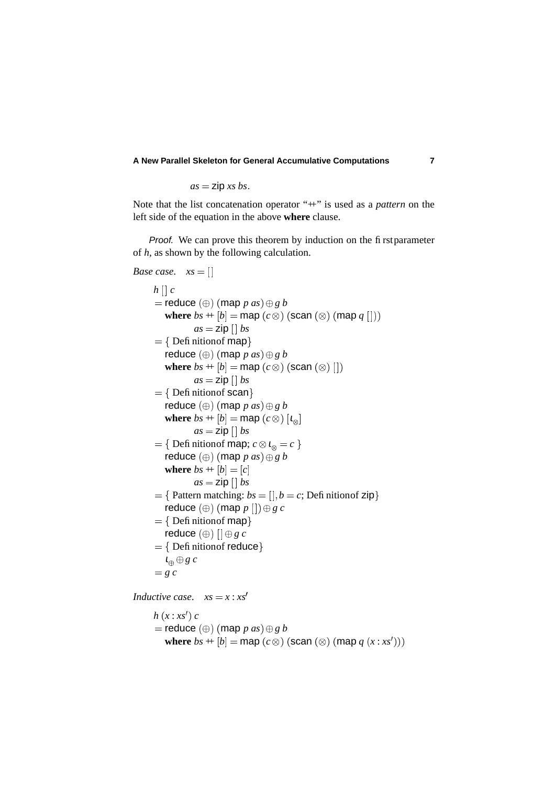$$
as = \text{zip } xs \text{ bs}.
$$

Note that the list concatenation operator "+" is used as a *pattern* on the left side of the equation in the above **where** clause.

Proof. We can prove this theorem by induction on the first parameter of *h*, as shown by the following calculation.

```
Base case. xs = []h \mid c= reduce (\oplus) (\textsf{map}~p~as) \oplus g~bwhere bs + [b] = \textsf{map}(c \otimes) (scan (\otimes) (map q []))
                as = zip \mid bs_____________
         { Defi nition of map }
        reduce (\oplus) (map p as) \oplus g bwhere bs + [b] = \text{map}(c \otimes) (scan (\otimes) [])
                as = zip \mid bs
         { Defi nition of scan }
        reduce (\oplus) (map p as) \oplus g bwhere bs + [b] = \text{map}(c \otimes) [t_{\otimes}]and the contract of the contract of the contract of the contract of the contract of the contract of the contract of
                as = zip[] bs
      _____________
         { Definition of map; c \otimes i_{\otimes} = c }
        reduce (\oplus) (map p as) \oplus g bwhere bs + [b] = [c]as = zip []bs
      __________________
         { Pattern matching: bs = [], b = c; Definition of zip}
        reduce \left(\oplus\right) (map p\left[\left]\right)\oplus g\ c_____________
         { Defi nition of map }
        reduce (\oplus) [|\oplus g\ c\
         { Definition of reduce}
         \iota_{\oplus} \oplus g \; c=gc
Inductive case. xs = x : xs'h(x:xs')c= reduce (\oplus) (\textsf{map}~p~as) \oplus g~bwhere bs + [b] = \text{map}(c \otimes) (scan (\otimes) (map q(x : xs')))
```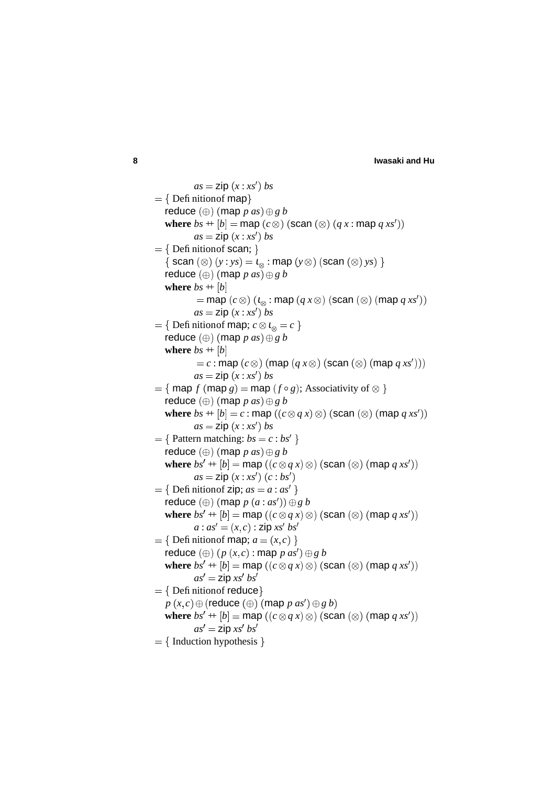```
as = zip(x : xs') bs
_____________
   { Defi nition of map }
  reduce (\oplus) (map p as) \oplus g bwhere bs + [b] = \textsf{map}(c \otimes) (scan (\otimes) (q x : \textsf{map}~ q~ xs'))as = zip(x : xs') bs
_____________
   \{ Definition of scan; \}\{ \textsf{scan}(\otimes) (y : ys) = \iota_{\otimes} : \textsf{map} (y \otimes) \textsf{(scan} (\otimes) \textsf{ys)} \}reduce (\oplus) (map p as) \oplus g bwhere bs + [b]= map (c \otimes) (\iota_{\otimes} : map (q \, x \otimes) (scan (\otimes) (map q \, xs') )as = zip(x : xs') bs
_____________
   { Definition of map; c \otimes i_{\otimes} = c }
  reduce (\oplus) (map p as) \oplus g bwhere bs + [b]c = c : \text{map}(c \otimes) (\text{map}(q x \otimes) (\text{scan}(\otimes) (\text{map } q x s'))as = zip(x : xs') bs

   \{ \text{map } f \text{ (map } g) = \text{map } (f \circ g); \text{Associativity of } \otimes \}reduce (\oplus) (map p as) \oplus g bwhere bs + [b] = c : \textsf{map} \ ((c \otimes q \ x) \otimes) \ (\textsf{scan} \ (\otimes) \ (\textsf{map} \ q \ xs'))as = zip(x : xs') bs
----------------
   { Pattern matching: bs = c : bs' }
  reduce (\oplus) (map p as) \oplus g bwhere bs' + [b] = \textsf{map}\ ((c \otimes q\ x) \otimes) (scan (\otimes) (map q\ xs'))
           as = zip(x : xs')(c : bs')_____________
   { Definition of zip; as = a : as' }
  \mathsf{reduce}\ (\oplus) \ (\mathsf{map}\ p\ (a:as')) \oplus g\ bwhere bs' + [b] = \textsf{map}\ ((c \otimes q\ x) \otimes) (scan (\otimes) (map q\ xs'))
          a: as' = (x, c): zip xs' bs'_____________
   { Definition of map; a = (x, c) }
  \mathsf{reduce}\ (\oplus)\ (p\ (x,c) : \mathsf{map}\ p\ as' )\oplus g\ bwhere bs' + [b] = \textsf{map}\ ((c \otimes q\ x) \otimes) (scan (\otimes) (map q\ xs'))
          as' = zip xs' bs'
   { Definition of reduce}
   p\left( x,c\right) \oplus \left( \textsf{reduce}\left( \oplus\right) \left( \textsf{map}~p~as^{\prime}\right) \oplus g~b\right)where bs' + [b] = \textsf{map}\ ((c \otimes q\ x) \otimes) (scan (\otimes) (map q\ xs'))
          as' = zip xs' bs'
   {Induction hypothesis}
```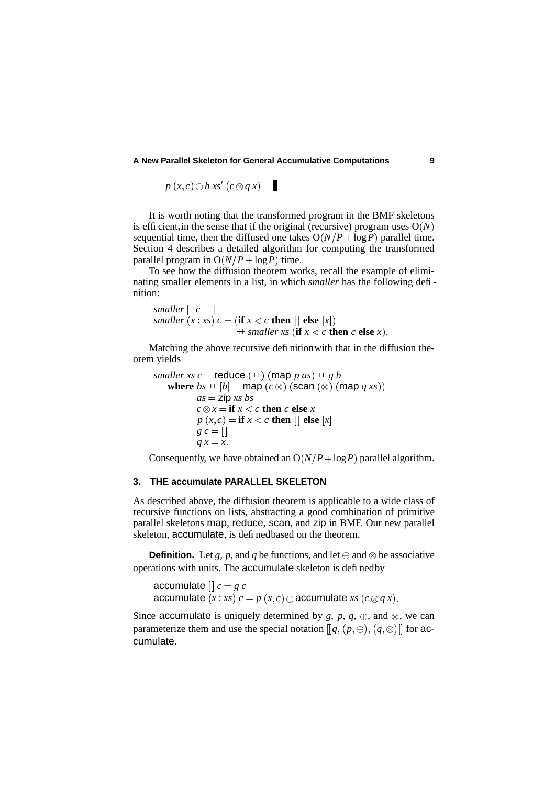$p(x, c) \oplus h(x)$   $(c \otimes q(x))$ 

It is worth noting that the transformed program in the BMF skeletons is efficient, in the sense that if the original (recursive) program uses  $O(N)$ sequential time, then the diffused one takes  $O(N/P + \log P)$  parallel time. Section 4 describes a detailed algorithm for computing the transformed parallel program in  $O(N/P + \log P)$  time.

To see how the diffusion theorem works, recall the example of eliminating smaller elements in a list, in which *smaller* has the following definition:

*smaller*  $[] c = []$ *smaller*  $(x : xs)$   $c = (\textbf{if } x < c \textbf{ then } [] \textbf{ else } [x])$  $+$  *smaller xs* (if  $x < c$  then  $c$  else  $x$ ).

Matching the above recursive definitionwith that in the diffusion theorem yields

*smaller*  $xs$   $c$  = **reduce**  $(+)$   $(\text{map } p \text{ as}) + g b$ where  $bs + [b] = \textsf{map}(c \otimes)$  (scan  $(\otimes)$  (map  $q \, xs)$ )  $as = zip$ *xs bs*  $c \otimes x = \textbf{if } x < c \textbf{ then } c \textbf{ else } x$  $p(x,c) =$  **if**  $x < c$  **then** [] **else**  $[x]$  $g c = []$  $q x = x$ .

Consequently, we have obtained an  $O(N/P + \log P)$  parallel algorithm.

#### **3. THE accumulate PARALLEL SKELETON**

As described above, the diffusion theorem is applicable to a wide class of recursive functions on lists, abstracting a good combination of primitive parallel skeletons map, reduce, scan, and zip in BMF. Our new parallel skeleton, accumulate, is definedbased on the theorem.

**Definition.** Let *g*, *p*, and *q* be functions, and let  $\oplus$  and  $\otimes$  be associative operations with units. The accumulate skeleton is definedby

accumulate  $\left[ \cdot \right] c = g c$ accumulate  $(x : xs) c = p(x, c) \oplus$  accumulate  $xs (c \otimes q x)$ .

Since accumulate is uniquely determined by  $g$ ,  $p$ ,  $q$ ,  $\oplus$ , and  $\otimes$ , we can parameterize them and use the special notation  $\llbracket g, (p, \oplus), (q, \otimes) \rrbracket$  for accumulate.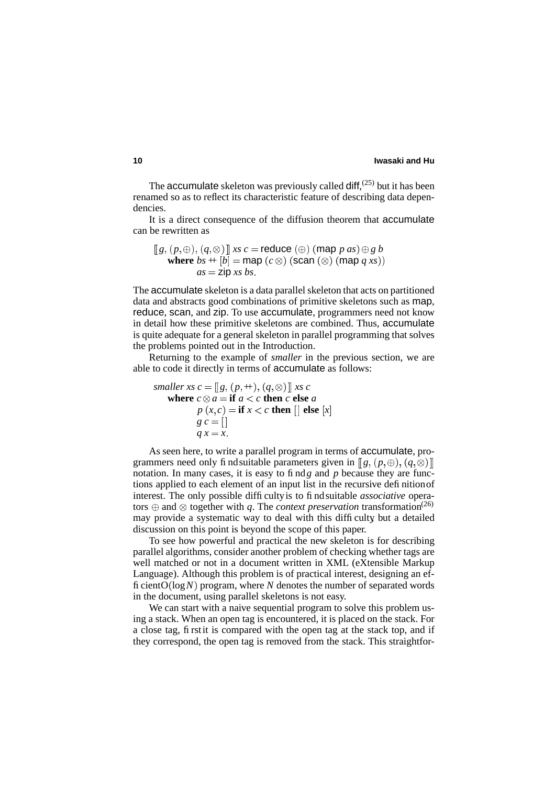The accumulate skeleton was previously called diff,  $(25)$  but it has been renamed so as to reflect its characteristic feature of describing data dependencies.

It is a direct consequence of the diffusion theorem that accumulate can be rewritten as

$$
[[g, (p, \oplus), (q, \otimes)]] \text{ xs } c = \text{reduce } (\oplus) \text{ (map } p \text{ as}) \oplus g \text{ b}
$$
  
where  $bs + [b] = \text{map } (c \otimes) \text{ (scan } (\otimes) \text{ (map } q \text{ xs)})$   
 $as = \text{zip } xs \text{ bs}.$ 

The accumulate skeleton is a data parallel skeleton that acts on partitioned data and abstracts good combinations of primitive skeletons such as map, reduce, scan, and zip. To use accumulate, programmers need not know in detail how these primitive skeletons are combined. Thus, accumulate is quite adequate for a general skeleton in parallel programming that solves the problems pointed out in the Introduction.

Returning to the example of *smaller* in the previous section, we are able to code it directly in terms of accumulate as follows:

*smaller xs*  $c = [g, (p, +), (q, \otimes)]$  *xs*  $c$ **where**  $c \otimes a = \textbf{if } a < c \textbf{ then } c \textbf{ else } a$  $p(x, c) =$  **if**  $x < c$  **then**  $\vert \vert$  **else**  $\vert x \vert$  $g c = []$  $q x = x$ .

As seen here, to write a parallel program in terms of accumulate, programmers need only findsuitable parameters given in  $[[g, (p, \oplus), (q, \otimes)]]$ notation. In many cases, it is easy to find*g* and *p* because they are functions applied to each element of an input list in the recursive definitionof interest. The only possible difficulty is to find suitable *associative* operators  $\oplus$  and  $\otimes$  together with *q*. The *context preservation* transformation<sup>(26)</sup> may provide a systematic way to deal with this difficulty, but a detailed discussion on this point is beyond the scope of this paper.

To see how powerful and practical the new skeleton is for describing parallel algorithms, consider another problem of checking whether tags are well matched or not in a document written in XML (eXtensible Markup Language). Although this problem is of practical interest, designing an efficient $O(\log N)$  program, where N denotes the number of separated words in the document, using parallel skeletons is not easy.

We can start with a naive sequential program to solve this problem using a stack. When an open tag is encountered, it is placed on the stack. For a close tag, firstit is compared with the open tag at the stack top, and if they correspond, the open tag is removed from the stack. This straightfor-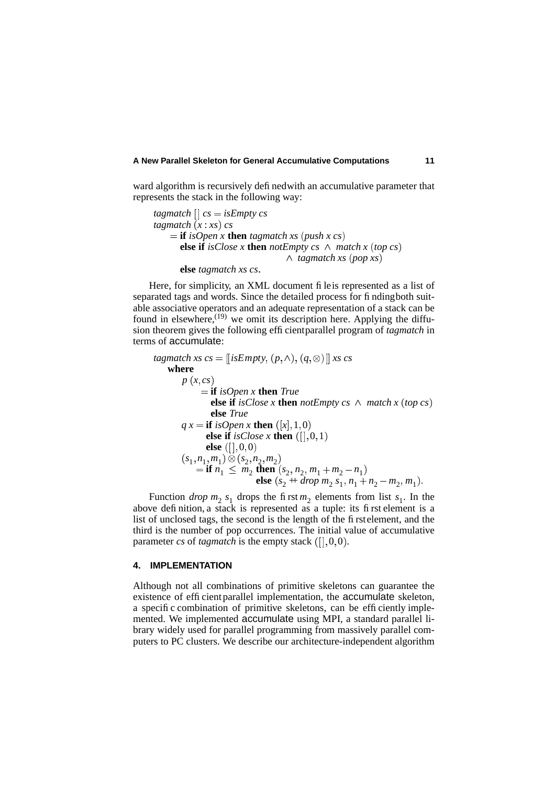ward algorithm is recursively definedwith an accumulative parameter that represents the stack in the following way:

```
tagmatch \vert \cdot \vert cs = isEmpty cs
tagmatch(x:xs) cs
    \mathbf{f} = \mathbf{if} isOpen x then tagmatch xs (push x cs)
       else if isClose x then notEmpty cs \wedge match x (top cs)

tagmatch xs  pop xs 
       else tagmatch xs cs
```
Here, for simplicity, an XML document fileis represented as a list of separated tags and words. Since the detailed process for findingboth suitable associative operators and an adequate representation of a stack can be found in elsewhere, $^{(19)}$  we omit its description here. Applying the diffusion theorem gives the following efficientparallel program of *tagmatch* in terms of accumulate:

```
tagmatch xs cs = \llbracket isEmpty, (p, \land), (q, \otimes) \rrbracket xs cs
   where
       p(x, cs) if isOpen x then True
                else if isClose x then notEmpty cs \land match x (top cs)
                else True
       q x = \mathbf{if} \text{ isOpen } x \text{ then } ([x], 1, 0)else if isClose x then (||, 0, 1)else ([],0,0)(s_1, n_1, m_1) \otimes (s_2, n_2, m_2)= if n_1 \leq m_2 then (s_2, n_2, m_1 + m_2 - n_1)else (s_2 + drop \, m_2 \, s_1, n_1 + n_2 - m_2, m_1).
```
Function *drop*  $m_2$   $s_1$  drops the first  $m_2$  elements from list  $s_1$ . In the above definition, a stack is represented as a tuple: its first element is a list of unclosed tags, the second is the length of the firstelement, and the third is the number of pop occurrences. The initial value of accumulative parameter *cs* of *tagmatch* is the empty stack  $($ [ $|, 0, 0)$ .

# **4. IMPLEMENTATION**

Although not all combinations of primitive skeletons can guarantee the existence of efficient parallel implementation, the accumulate skeleton, a specific combination of primitive skeletons, can be efficiently implemented. We implemented accumulate using MPI, a standard parallel library widely used for parallel programming from massively parallel computers to PC clusters. We describe our architecture-independent algorithm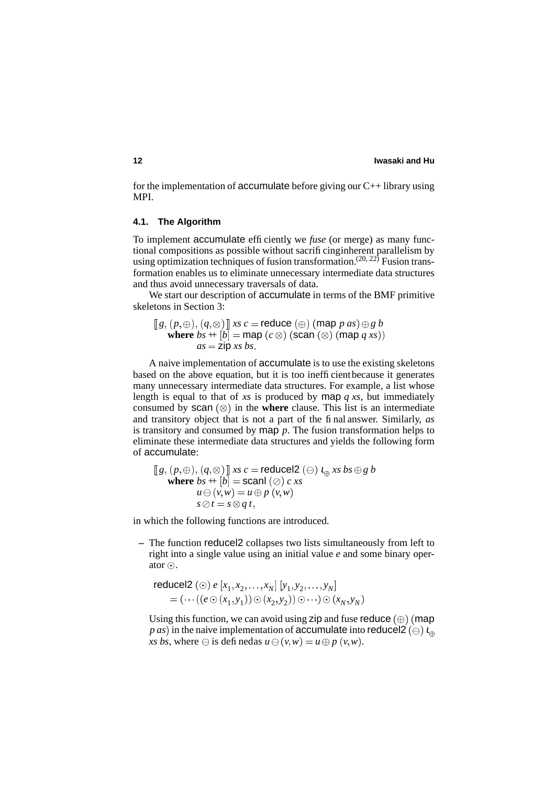for the implementation of accumulate before giving our  $C_{++}$  library using MPI.

### **4.1. The Algorithm**

To implement accumulate efficiently, we *fuse* (or merge) as many functional compositions as possible without sacrificinginherent parallelism by using optimization techniques of fusion transformation.<sup>(20, 22)</sup> Fusion transformation enables us to eliminate unnecessary intermediate data structures and thus avoid unnecessary traversals of data.

We start our description of accumulate in terms of the BMF primitive skeletons in Section 3:

 $\left[\hspace{.08cm}\left[g,\, (p,\oplus),\, (q,\otimes) \, \right]\hspace{-.08cm}\right]$  *xs c* = **reduce**  $\left(\oplus\right)$  (map *p as*)  $\oplus$  *g b* where  $bs + [b] = \textsf{map}(c \otimes)$  (scan  $(\otimes)$  (map  $q \, xs)$ )  $as = \mathsf{zip}\; xs\; bs.$ 

A naive implementation of accumulate is to use the existing skeletons based on the above equation, but it is too inefficientbecause it generates many unnecessary intermediate data structures. For example, a list whose length is equal to that of *xs* is produced by map  $q$  *xs*, but immediately consumed by scan  $(\otimes)$  in the **where** clause. This list is an intermediate and transitory object that is not a part of the final answer. Similarly, *as* is transitory and consumed by  $\text{map } p$ . The fusion transformation helps to eliminate these intermediate data structures and yields the following form of accumulate:

$$
[[g, (p, \oplus), (q, \otimes)]] \text{ xs } c = \text{reduced2 } (\ominus) \iota_{\oplus} \text{ xs } bs \oplus g b
$$
  
where  $bs + [b] = \text{scal} (\oslash) c \text{ xs}$   
 $u \ominus (v, w) = u \oplus p (v, w)$   
 $s \oslash t = s \otimes q t,$ 

in which the following functions are introduced.

**–** The function reducel2 collapses two lists simultaneously from left to right into a single value using an initial value *e* and some binary operator $\odot$ .

$$
\text{reduced2} \ (\odot) \ e \ [x_1, x_2, \dots, x_N] \ [y_1, y_2, \dots, y_N] \\
 = (\dots ((e \odot (x_1, y_1)) \odot (x_2, y_2)) \odot \dots) \odot (x_N, y_N)
$$

Using this function, we can avoid using zip and fuse reduce  $(\oplus)$  (map  $\varrho$  *as*) in the naive implementation of **accumulate** into <code>reducel2</code> ( $\ominus$ )  $\iota_{\oplus}$  $x s \, b s$ , where  $\ominus$  is definedas  $u \ominus (v, w) = u \oplus p(v, w)$ .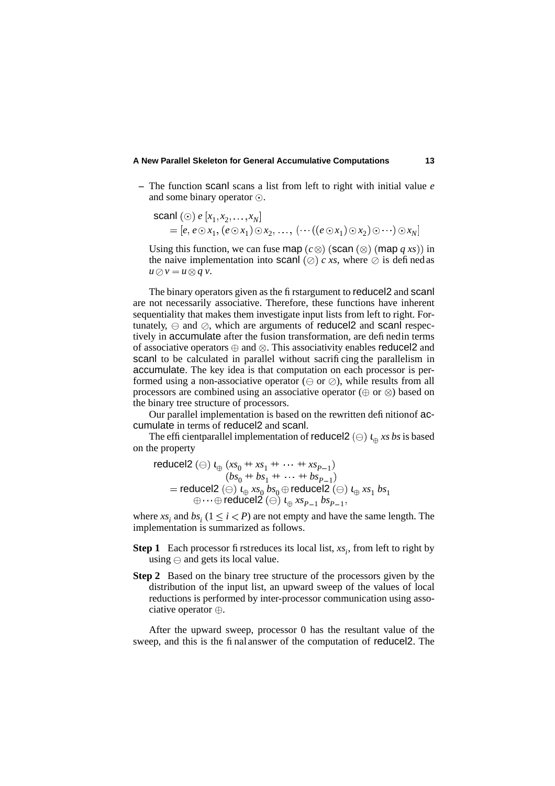**–** The function scanl scans a list from left to right with initial value *e* and some binary operator  $\odot$ .

$$
\text{scan}(\odot) \ e \ [x_1, x_2, \dots, x_N] \\
= [e, e \odot x_1, (e \odot x_1) \odot x_2, \dots, (\dots ((e \odot x_1) \odot x_2) \odot \dots) \odot x_N]
$$

Using this function, we can fuse map  $(c \otimes)$  (scan  $(\otimes)$  (map  $q$  *xs*)) in the naive implementation into scanl  $(\emptyset)$  c xs, where  $\emptyset$  is defined as  $u \oslash v = u \otimes q v$ .

The binary operators given as the firstargument to reducel2 and scanl are not necessarily associative. Therefore, these functions have inherent sequentiality that makes them investigate input lists from left to right. Fortunately,  $\ominus$  and  $\oslash$ , which are arguments of reducel2 and scanl respectively in accumulate after the fusion transformation, are definedin terms of associative operators  $\oplus$  and  $\otimes$ . This associativity enables reducel2 and scanl to be calculated in parallel without sacrificing the parallelism in accumulate. The key idea is that computation on each processor is performed using a non-associative operator  $(\ominus$  or  $\oslash$ ), while results from all processors are combined using an associative operator  $(\oplus$  or  $\otimes)$  based on the binary tree structure of processors.

Our parallel implementation is based on the rewritten definitionof accumulate in terms of reducel2 and scanl.

The efficient parallel implementation of reduce  $2(\theta)$   $t_{\theta}$  xs *bs* is based on the property

$$
\begin{aligned}\n\text{reduced2} \ (\ominus) \ \iota_{\oplus} \ (xs_0 + xs_1 + \cdots + xs_{P-1}) \\
 &\quad (bs_0 + bs_1 + \cdots + bs_{P-1}) \\
&= \text{reduced2} \ (\ominus) \ \iota_{\oplus} \ xs_0 \ bs_0 \oplus \text{reduced2} \ (\ominus) \ \iota_{\oplus} \ xs_1 \ bs_1 \\
 &\quad \oplus \cdots \oplus \text{reduced2} \ (\ominus) \ \iota_{\oplus} \ xs_{P-1} \ bs_{P-1},\n\end{aligned}
$$

where  $xs_i$  and  $bs_i$  ( $1 \le i < P$ ) are not empty and have the same length. The implementation is summarized as follows.

- **Step 1** Each processor first reduces its local list,  $xs_i$ , from left to right by using  $\ominus$  and gets its local value.
- **Step 2** Based on the binary tree structure of the processors given by the distribution of the input list, an upward sweep of the values of local reductions is performed by inter-processor communication using associative operator  $\oplus$ .

After the upward sweep, processor 0 has the resultant value of the sweep, and this is the final answer of the computation of reducel2. The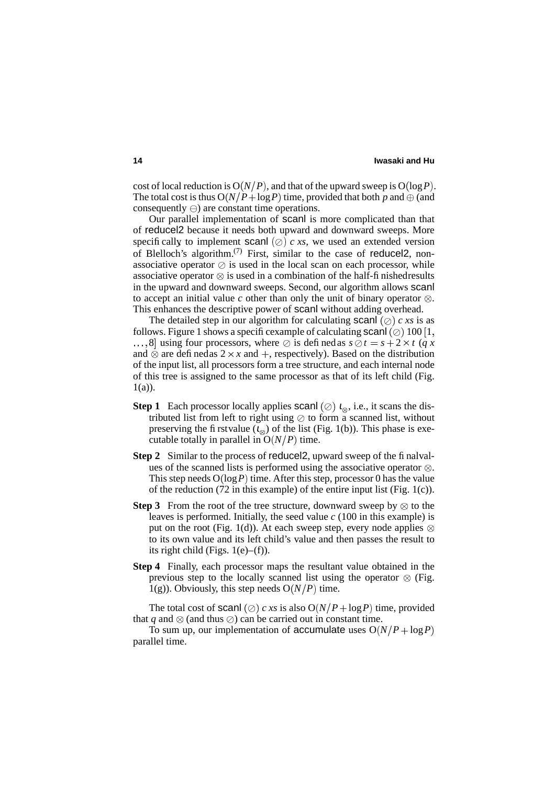cost of local reduction is  $O(N/P)$ , and that of the upward sweep is  $O(log P)$ . The total cost is thus  $O(N/P + \log P)$  time, provided that both *p* and  $\oplus$  (and consequently  $\ominus$ ) are constant time operations.

Our parallel implementation of scanl is more complicated than that of reducel2 because it needs both upward and downward sweeps. More specifically to implement scanl  $(\oslash)$  *c xs*, we used an extended version of Blelloch's algorithm.<sup>(7)</sup> First, similar to the case of reducel2, nonassociative operator  $\oslash$  is used in the local scan on each processor, while associative operator  $\otimes$  is used in a combination of the half-finishedresults in the upward and downward sweeps. Second, our algorithm allows scanl to accept an initial value *c* other than only the unit of binary operator  $\otimes$ . This enhances the descriptive power of scanl without adding overhead.

The detailed step in our algorithm for calculating scanl  $(\emptyset)$  c xs is as follows. Figure 1 shows a specific example of calculating scanl  $(\oslash)$  100  $[1,$ ...,8 using four processors, where  $\oslash$  is defined as  $s \oslash t = s + 2 \times t$  (*q x* and  $\otimes$  are definedas  $2 \times x$  and  $+$ , respectively). Based on the distribution of the input list, all processors form a tree structure, and each internal node of this tree is assigned to the same processor as that of its left child (Fig.  $1(a)$ ).

- **Step 1** Each processor locally applies scand  $(\emptyset)$   $l_{\infty}$ , i.e., it scans the distributed list from left to right using  $\oslash$  to form a scanned list, without preserving the firstvalue  $(t_{\infty})$  of the list (Fig. 1(b)). This phase is executable totally in parallel in  $O(N/P)$  time.
- **Step 2** Similar to the process of reducel 2, upward sweep of the finalvalues of the scanned lists is performed using the associative operator  $\otimes$ . This step needs  $O(\log P)$  time. After this step, processor 0 has the value of the reduction (72 in this example) of the entire input list (Fig. 1(c)).
- **Step 3** From the root of the tree structure, downward sweep by  $\otimes$  to the leaves is performed. Initially, the seed value *c* (100 in this example) is put on the root (Fig. 1(d)). At each sweep step, every node applies  $\otimes$ to its own value and its left child's value and then passes the result to its right child (Figs.  $1(e)$ –(f)).
- **Step 4** Finally, each processor maps the resultant value obtained in the previous step to the locally scanned list using the operator  $\otimes$  (Fig. 1(g)). Obviously, this step needs  $O(N/P)$  time.

The total cost of scanl ( $\oslash$ ) *c xs* is also  $O(N/P + \log P)$  time, provided that  $q$  and  $\otimes$  (and thus  $\oslash$ ) can be carried out in constant time.

To sum up, our implementation of accumulate uses  $O(N/P + \log P)$ parallel time.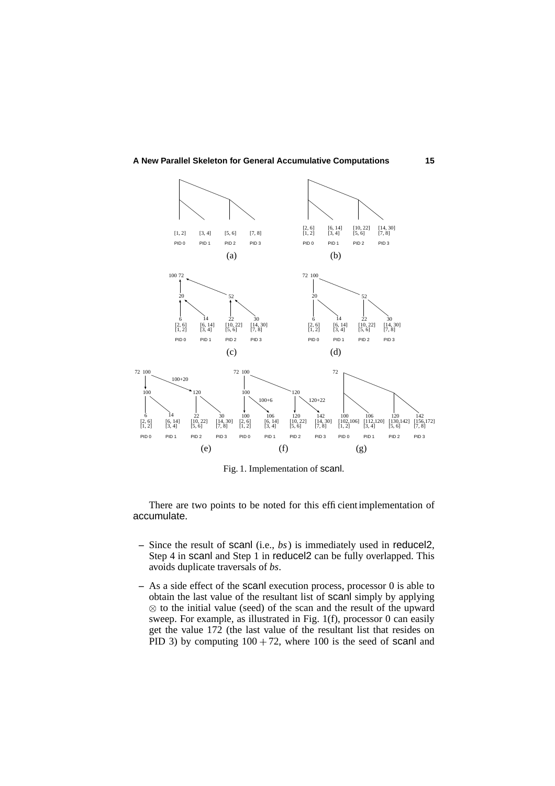

Fig. 1. Implementation of scanl.

There are two points to be noted for this efficientimplementation of accumulate.

- **–** Since the result of scanl (i.e., *bs*) is immediately used in reducel2, Step 4 in scanl and Step 1 in reducel2 can be fully overlapped. This avoids duplicate traversals of *bs*.
- **–** As a side effect of the scanl execution process, processor 0 is able to obtain the last value of the resultant list of scanl simply by applying  $\otimes$  to the initial value (seed) of the scan and the result of the upward sweep. For example, as illustrated in Fig. 1(f), processor 0 can easily get the value 172 (the last value of the resultant list that resides on PID 3) by computing  $100 + 72$ , where 100 is the seed of scanl and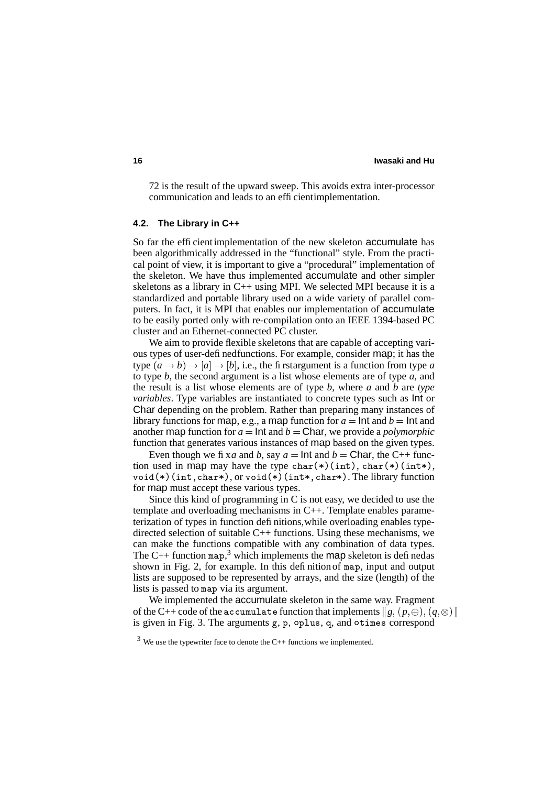72 is the result of the upward sweep. This avoids extra inter-processor communication and leads to an efficientimplementation.

#### **4.2. The Library in C++**

So far the efficientimplementation of the new skeleton accumulate has been algorithmically addressed in the "functional" style. From the practical point of view, it is important to give a "procedural" implementation of the skeleton. We have thus implemented accumulate and other simpler skeletons as a library in C++ using MPI. We selected MPI because it is a standardized and portable library used on a wide variety of parallel computers. In fact, it is MPI that enables our implementation of accumulate to be easily ported only with re-compilation onto an IEEE 1394-based PC cluster and an Ethernet-connected PC cluster.

We aim to provide flexible skeletons that are capable of accepting various types of user-definedfunctions. For example, consider map; it has the type  $(a \rightarrow b) \rightarrow [a] \rightarrow [b]$ , i.e., the firstargument is a function from type *a* to type *b*, the second argument is a list whose elements are of type *a*, and the result is a list whose elements are of type *b*, where *a* and *b* are *type variables*. Type variables are instantiated to concrete types such as Int or Char depending on the problem. Rather than preparing many instances of library functions for map, e.g., a map function for  $a = \text{Int}$  and  $b = \text{Int}$  and another map function for  $a = \text{Int}$  and  $b = \text{Char}$ , we provide a *polymorphic* function that generates various instances of map based on the given types.

Even though we fix*a* and *b*, say  $a = \text{Int}$  and  $b = \text{Char}$ , the C++ function used in map may have the type  $char(*)(int), char(*)(int*),$ void(\*)(int,char\*), or void(\*)(int\*,char\*). The library function for map must accept these various types.

Since this kind of programming in C is not easy, we decided to use the template and overloading mechanisms in C++. Template enables parameterization of types in function definitions,while overloading enables typedirected selection of suitable C++ functions. Using these mechanisms, we can make the functions compatible with any combination of data types. The C++ function map,<sup>3</sup> which implements the map skeleton is defined as shown in Fig. 2, for example. In this definition of map, input and output lists are supposed to be represented by arrays, and the size (length) of the lists is passed to map via its argument.

We implemented the accumulate skeleton in the same way. Fragment of the C++ code of the  $\verb|accumulate$  function that implements  $\left[\!\left[g,(p,\oplus),(q,\otimes)\right]\!\right]$ is given in Fig. 3. The arguments g, p, oplus, q, and otimes correspond

 $3$  We use the typewriter face to denote the C++ functions we implemented.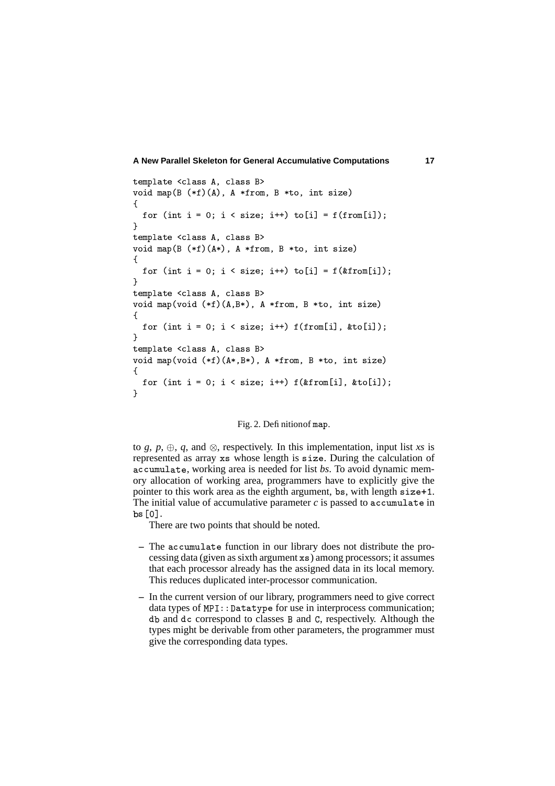```
-

	
-

void map(B (*f)(A), A *from, B *to, int size)
\mathcal{L}for (int i = 0; i < size; i++) to[i] = f(from[i]);
\mathbf{F}-

	
-

void map(B (*f)(A*), A *from, B *to, int size)
\overline{A}for (int i = 0; i < size; i++) to[i] = f(&from[i]);
\mathbf{F}-

	
-

void map(void (*f)(A,B*), A *from, B *to, int size)
\overline{A}for (int i = 0; i < size; i++) f(from[i], &to[i]);
\mathcal{F}-

	
-

void map(void (*f)(A*,B*), A *from, B *to, int size)
\mathcal{L}for (int i = 0; i < size; i++) f(\& from[i],~\& to[i]);\mathbf{r}
```
# Fig. 2. Definition of map.

to *g*,  $p$ ,  $\oplus$ ,  $q$ , and  $\otimes$ , respectively. In this implementation, input list *xs* is represented as array xs whose length is size. During the calculation of accumulate, working area is needed for list *bs*. To avoid dynamic memory allocation of working area, programmers have to explicitly give the pointer to this work area as the eighth argument, bs, with length size+1. The initial value of accumulative parameter  $c$  is passed to accumulate in bs[0].

There are two points that should be noted.

- The accumulate function in our library does not distribute the processing data (given as sixth argument  $\overline{x}$  s) among processors; it assumes that each processor already has the assigned data in its local memory. This reduces duplicated inter-processor communication.
- **–** In the current version of our library, programmers need to give correct data types of  $MPI: :$  Datatype for use in interprocess communication; db and dc correspond to classes B and C, respectively. Although the types might be derivable from other parameters, the programmer must give the corresponding data types.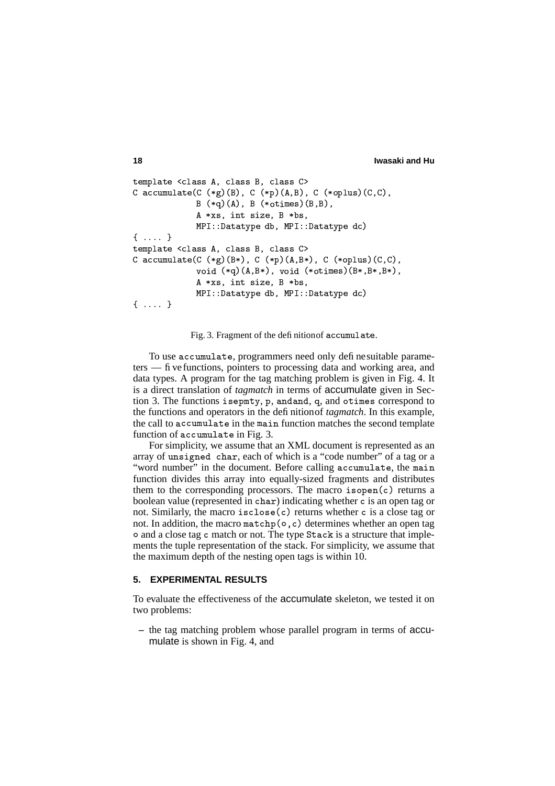```
18 Iwasaki and Hu
```

```
-

	
-

	?;
	-
-

C accumulate(C (*g)(B), C (*p)(A,B), C (*oplus)(C,C),
               B (*q) (A), B (*otimes) (B, B),
               \blacksquare (i) \blacksquare (i) \blacksquare (i) \blacksquare (i) \blacksquare (i) \blacksquare (i) \blacksquare (i) \blacksquareMPI::Datatype db, MPI::Datatype dc)
\{ \ldots \}-

	
-

	?;
	-
-

C accumulate(C (*g) (B*), C (*p) (A, B*), C (*\texttt{\rm oplus}) (C, C),
               void (*q)(A,B*), void (*otimes)(B*,B*,B*),
               ,$
([ 0/ 1 9+/$
([
               MPI::Datatype db, MPI::Datatype dc)
\{ \ldots \}
```
Fig. 3. Fragment of the definitionof  $\verb|accumulate|$ .

To use accumulate, programmers need only definesuitable parameters — five functions, pointers to processing data and working area, and data types. A program for the tag matching problem is given in Fig. 4. It is a direct translation of *tagmatch* in terms of accumulate given in Section 3. The functions isepmty, p, and and, q, and otimes correspond to the functions and operators in the definitionof *tagmatch*. In this example, the call to accumulate in the main function matches the second template function of accumulate in Fig. 3.

For simplicity, we assume that an XML document is represented as an array of unsigned char, each of which is a "code number" of a tag or a "word number" in the document. Before calling accumulate, the main function divides this array into equally-sized fragments and distributes them to the corresponding processors. The macro isopen (c) returns a boolean value (represented in char) indicating whether c is an open tag or not. Similarly, the macro isclose (c) returns whether c is a close tag or not. In addition, the macro matchp (o, c) determines whether an open tag o and a close tag c match or not. The type Stack is a structure that implements the tuple representation of the stack. For simplicity, we assume that the maximum depth of the nesting open tags is within 10.

# **5. EXPERIMENTAL RESULTS**

To evaluate the effectiveness of the accumulate skeleton, we tested it on two problems:

**–** the tag matching problem whose parallel program in terms of accumulate is shown in Fig. 4, and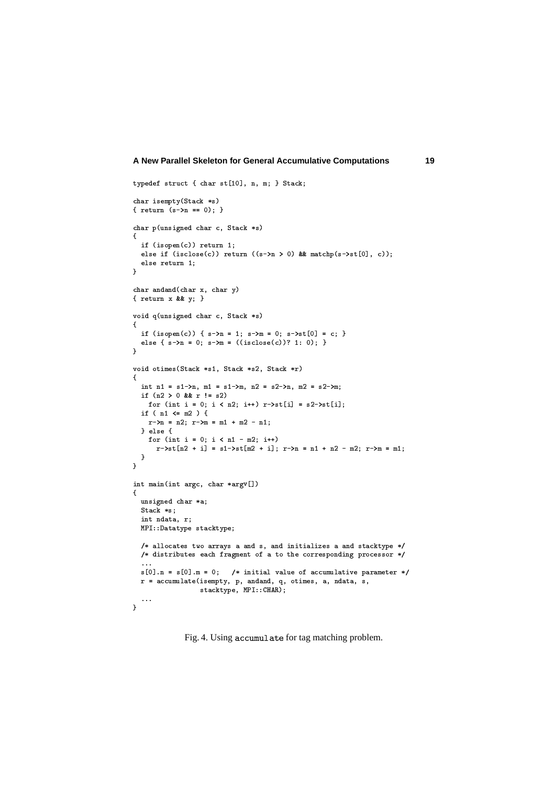```
typedef struct { char st[10], n, m; } Stack;
 \blacksquare{ return (s->n == 0); }
 \blacksquare\overline{A}.	A0/.-

B!<0/5-
56

!C;%
    -
D+
E.	A0/.-

-
D-
B+
;0/5-
5*

!F0-
0/
8-
9!9*5HG-
GI#JK-
<0/
8-
9+
L I5-
5;%
    -
D+
6

!A;%
'
char and and (char x, char y)
 \{ return x && y; \}O B+.QPR0=-
!
-
.>!?
@1()+,3+
5
\mathbf{f}if (isopen(c)) { s-\lambda n = 1; s-\lambda m = 0; s-\lambda st[0] = c; }
    else {        s->n = 0;        s->m = ((isclose(c))? 1: 0);        }
'
 O B+.@BK.2#J+
J02)+,43+
;()+,3+
VW()+,3
5
\left\{ \right..!6!;I:@
8-
9!X#1Y:Q
8-
9/#&"!V*:E
V-
8-
9!X#JV*:@
V-
8-
9/#&%
    \cdots \cdots \cdots	B
A0/.!.6:*<%N.*\Y!VW%N.]-
]5^
8-
9+
=.Q:Q
V-
8-
9+
=. %
   if ( n1 \le m2 ) {

8-
9!@:6!VW%"
8-
9/#:Y#1I]H#JVE8I!;;%
    } else {
       	B
A0/.!.6:*<%N.*\Y!;^8Y#JVW%N.]-
]5

8-
9+
_!VQ]E.E:Q
8-
9+
`#JVQ]E. %"
8-
9!:I!;^]^!V8a#JVW%"
8-
9/#4:H#1;%
    }
'
 .!^#J+.!<0/.!
-
>K1S
Q3-

-
>O b5
\mathcal{L}-
!
-
.>!?
Q3-
W%
    )+,3+
1%
   int ndata. r:
    \mathbf{u} \cdot \mathbf{v} = \mathbf{v} + \mathbf{v}\mathcal{L} are defined by the set of the set of the set of the set of the set of the set of the set of the set of the set of the set of the set of the set of the set of the set of the set of the set of the set of the set of
    \mathcal{F}_\text{c} and the state of the state of the state of the state of the state of the state of the state of the state of the state of the state of the state of the state of the state of the state of the state of the stat
    l-
      l-
        a later than \sims[0] n = s[0] m = 0: /* initial value of accumulative parameter */
    . The same state of the state of the state of the state of the state of the state of the state of the state of the state of the state of the state of the state of the state of the state of the state of the state of the st
                            \cdots, \cdots, \cdots, \cdots, \cdots, \cdots, \cdots, \cdots, \cdots, \cdots, \cdots, \cdots, \cdots, \cdots, \cdots, \cdots, \cdots, \cdots, \cdots, \cdots, \cdots, \cdots, \cdots, \cdots, \cdots, \cdots, \cdots, \cdots, \cdots, \cdots, \cdots, \cdotsl-
l-
l '
```
Fig. 4. Using accumulate for tag matching problem.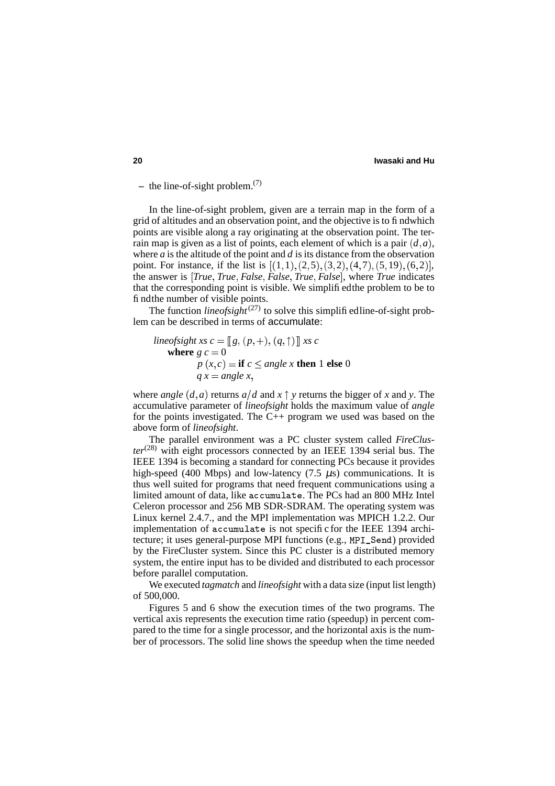**–** the line-of-sight problem.(7)

In the line-of-sight problem, given are a terrain map in the form of a grid of altitudes and an observation point, and the objective is to findwhich points are visible along a ray originating at the observation point. The terrain map is given as a list of points, each element of which is a pair  $(d, a)$ , where  $a$  is the altitude of the point and  $d$  is its distance from the observation point. For instance, if the list is  $[(1,1),(2,5),(3,2),(4,7),(5,19),(6,2)],$ the answer is  *True True False False True False* , where *True* indicates that the corresponding point is visible. We simplifiedthe problem to be to findthe number of visible points.

The function *lineofsight*<sup> $(27)$ </sup> to solve this simplified line-of-sight problem can be described in terms of accumulate:

lineof sight xs 
$$
c = [[g, (p, +), (q, \uparrow)]]
$$
 xs c  
\nwhere  $g c = 0$   
\n $p(x, c) = \textbf{if } c \le \text{angle } x \textbf{ then 1 else 0}$   
\n $q x = \text{angle } x,$ 

where *angle*  $(d, a)$  returns  $a/d$  and  $x \uparrow y$  returns the bigger of x and y. The accumulative parameter of *lineofsight* holds the maximum value of *angle* for the points investigated. The C++ program we used was based on the above form of *lineofsight*.

The parallel environment was a PC cluster system called *FireCluster*(28) with eight processors connected by an IEEE 1394 serial bus. The IEEE 1394 is becoming a standard for connecting PCs because it provides high-speed (400 Mbps) and low-latency (7.5  $\mu$ s) communications. It is thus well suited for programs that need frequent communications using a limited amount of data, like accumulate. The PCs had an 800 MHz Intel Celeron processor and 256 MB SDR-SDRAM. The operating system was Linux kernel 2.4.7., and the MPI implementation was MPICH 1.2.2. Our implementation of accumulate is not specific for the IEEE 1394 architecture; it uses general-purpose MPI functions (e.g., MPI\_Send) provided by the FireCluster system. Since this PC cluster is a distributed memory system, the entire input has to be divided and distributed to each processor before parallel computation.

We executed *tagmatch* and *lineofsight* with a data size (input list length) of 500,000.

Figures 5 and 6 show the execution times of the two programs. The vertical axis represents the execution time ratio (speedup) in percent compared to the time for a single processor, and the horizontal axis is the number of processors. The solid line shows the speedup when the time needed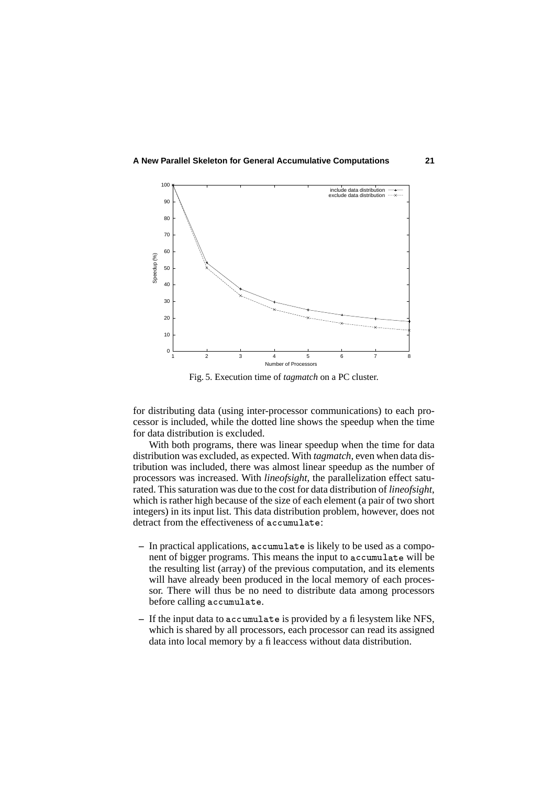

Fig. 5. Execution time of *tagmatch* on a PC cluster.

for distributing data (using inter-processor communications) to each processor is included, while the dotted line shows the speedup when the time for data distribution is excluded.

With both programs, there was linear speedup when the time for data distribution was excluded, as expected. With *tagmatch*, even when data distribution was included, there was almost linear speedup as the number of processors was increased. With *lineofsight*, the parallelization effect saturated. This saturation was due to the cost for data distribution of *lineofsight*, which is rather high because of the size of each element (a pair of two short integers) in its input list. This data distribution problem, however, does not detract from the effectiveness of accumulate:

- In practical applications, a c cumulate is likely to be used as a component of bigger programs. This means the input to accumulate will be the resulting list (array) of the previous computation, and its elements will have already been produced in the local memory of each processor. There will thus be no need to distribute data among processors before calling accumulate.
- If the input data to accumulate is provided by a filesystem like NFS, which is shared by all processors, each processor can read its assigned data into local memory by a fileaccess without data distribution.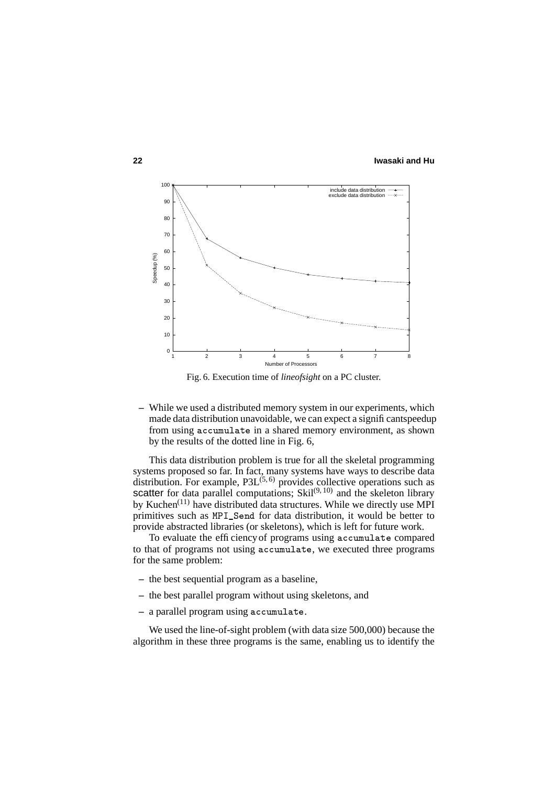

Fig. 6. Execution time of *lineofsight* on a PC cluster.

**–** While we used a distributed memory system in our experiments, which made data distribution unavoidable, we can expect a significantspeedup from using accumulate in a shared memory environment, as shown by the results of the dotted line in Fig. 6,

This data distribution problem is true for all the skeletal programming systems proposed so far. In fact, many systems have ways to describe data distribution. For example,  $P3L^{(5,6)}$  provides collective operations such as scatter for data parallel computations; Skil $(9, 10)$  and the skeleton library by Kuchen<sup>(11)</sup> have distributed data structures. While we directly use MPI primitives such as MPI\_Send for data distribution, it would be better to provide abstracted libraries (or skeletons), which is left for future work.

To evaluate the efficiency of programs using accumulate compared to that of programs not using accumulate, we executed three programs for the same problem:

- **–** the best sequential program as a baseline,
- **–** the best parallel program without using skeletons, and
- a parallel program using accumulate.

We used the line-of-sight problem (with data size 500,000) because the algorithm in these three programs is the same, enabling us to identify the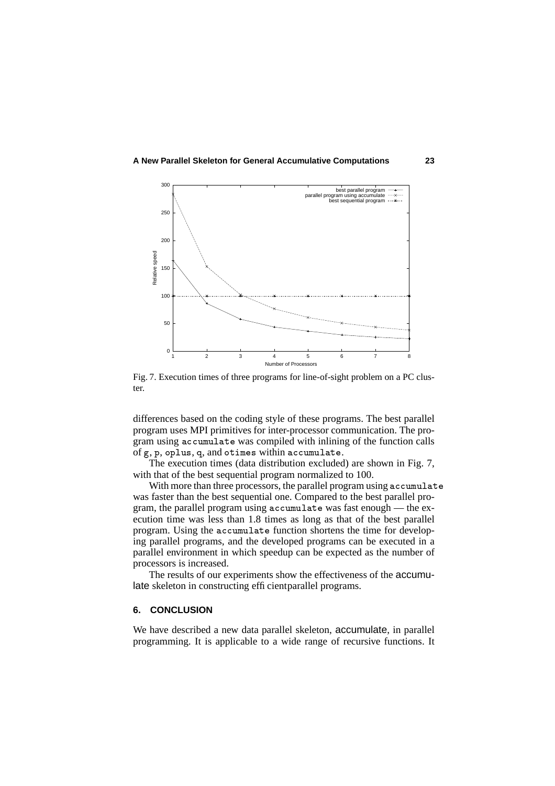

Fig. 7. Execution times of three programs for line-of-sight problem on a PC cluster.

differences based on the coding style of these programs. The best parallel program uses MPI primitives for inter-processor communication. The program using accumulate was compiled with inlining of the function calls of g, p, oplus, q, and otimes within  $\verb|accumulate|$ .

The execution times (data distribution excluded) are shown in Fig. 7, with that of the best sequential program normalized to 100.

With more than three processors, the parallel program using accumulate was faster than the best sequential one. Compared to the best parallel program, the parallel program using accumulate was fast enough — the execution time was less than 1.8 times as long as that of the best parallel program. Using the accumulate function shortens the time for developing parallel programs, and the developed programs can be executed in a parallel environment in which speedup can be expected as the number of processors is increased.

The results of our experiments show the effectiveness of the accumulate skeleton in constructing efficient parallel programs.

# **6. CONCLUSION**

We have described a new data parallel skeleton, accumulate, in parallel programming. It is applicable to a wide range of recursive functions. It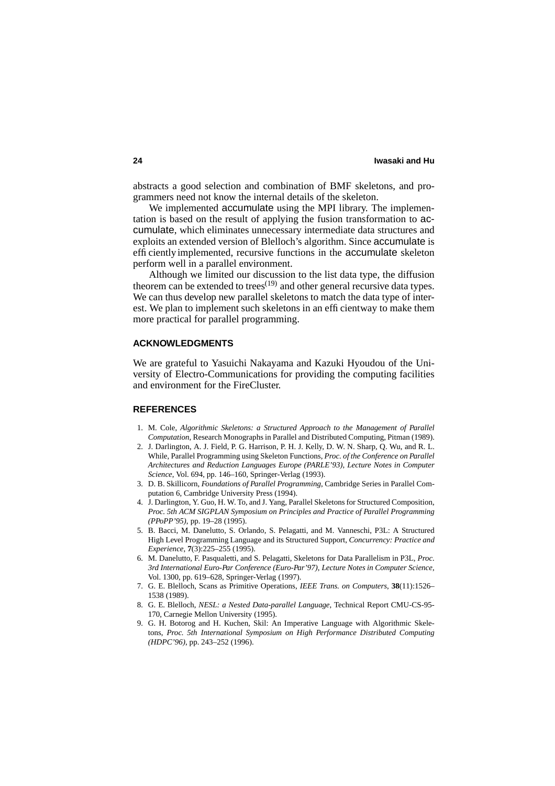abstracts a good selection and combination of BMF skeletons, and programmers need not know the internal details of the skeleton.

We implemented accumulate using the MPI library. The implementation is based on the result of applying the fusion transformation to accumulate, which eliminates unnecessary intermediate data structures and exploits an extended version of Blelloch's algorithm. Since accumulate is efficiently implemented, recursive functions in the accumulate skeleton perform well in a parallel environment.

Although we limited our discussion to the list data type, the diffusion theorem can be extended to trees(19) and other general recursive data types. We can thus develop new parallel skeletons to match the data type of interest. We plan to implement such skeletons in an efficientway to make them more practical for parallel programming.

### **ACKNOWLEDGMENTS**

We are grateful to Yasuichi Nakayama and Kazuki Hyoudou of the University of Electro-Communications for providing the computing facilities and environment for the FireCluster.

#### **REFERENCES**

- 1. M. Cole, *Algorithmic Skeletons: a Structured Approach to the Management of Parallel Computation*, Research Monographs in Parallel and Distributed Computing, Pitman (1989).
- 2. J. Darlington, A. J. Field, P. G. Harrison, P. H. J. Kelly, D. W. N. Sharp, Q. Wu, and R. L. While, Parallel Programming using Skeleton Functions, *Proc. of the Conference on Parallel Architectures and Reduction Languages Europe (PARLE'93)*, *Lecture Notes in Computer Science*, Vol. 694, pp. 146–160, Springer-Verlag (1993).
- 3. D. B. Skillicorn, *Foundations of Parallel Programming*, Cambridge Series in Parallel Computation 6, Cambridge University Press (1994).
- 4. J. Darlington, Y. Guo, H. W. To, and J. Yang, Parallel Skeletons for Structured Composition, *Proc. 5th ACM SIGPLAN Symposium on Principles and Practice of Parallel Programming (PPoPP'95)*, pp. 19–28 (1995).
- 5. B. Bacci, M. Danelutto, S. Orlando, S. Pelagatti, and M. Vanneschi, P3L: A Structured High Level Programming Language and its Structured Support, *Concurrency: Practice and Experience*, **7**(3):225–255 (1995).
- 6. M. Danelutto, F. Pasqualetti, and S. Pelagatti, Skeletons for Data Parallelism in P3L, *Proc. 3rd International Euro-Par Conference (Euro-Par'97)*, *Lecture Notes in Computer Science*, Vol. 1300, pp. 619–628, Springer-Verlag (1997).
- 7. G. E. Blelloch, Scans as Primitive Operations, *IEEE Trans. on Computers*, **38**(11):1526– 1538 (1989).
- 8. G. E. Blelloch, *NESL: a Nested Data-parallel Language*, Technical Report CMU-CS-95- 170, Carnegie Mellon University (1995).
- 9. G. H. Botorog and H. Kuchen, Skil: An Imperative Language with Algorithmic Skeletons, *Proc. 5th International Symposium on High Performance Distributed Computing (HDPC'96)*, pp. 243–252 (1996).